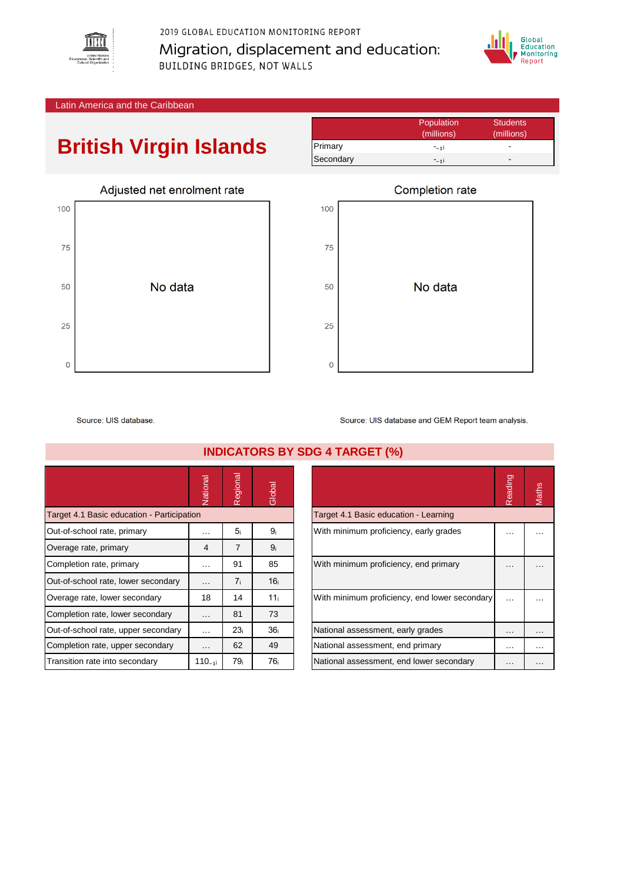

2019 GLOBAL EDUCATION MONITORING REPORT Migration, displacement and education: **BUILDING BRIDGES, NOT WALLS** 



Latin America and the Caribbean

## **British Virgin Islands**

|           | Population | <b>Students</b> |
|-----------|------------|-----------------|
|           | (millions) | (millions)      |
| Primary   | $-11$      |                 |
| Secondary | $-11$      | -               |



|             | Completion rate |
|-------------|-----------------|
| 100         |                 |
| 75          |                 |
| 50          | No data         |
| 25          |                 |
| $\mathbf 0$ |                 |

Source: UIS database

National<br>Regional<br>Global Target 4.1 Basic education - Participation Out-of-school rate, primary  $\begin{array}{ccc} \hline \end{array}$  ...  $\begin{array}{ccc} \hline \end{array}$  5<sub>i</sub> 9<sub>i</sub> Overage rate, primary  $\begin{array}{ccc} 4 & 7 & 9_i \end{array}$ Completion rate, primary **Example 1** ... | 91 | 85 Out-of-school rate, lower secondary  $\begin{bmatrix} 1 & 1 & 16 \end{bmatrix}$  16 Overage rate, lower secondary 18 14 11ᵢ With minimum proficiency, end lower secondary … … Completion rate, lower secondary | ... | 81 | 73 Out-of-school rate, upper secondary  $\begin{bmatrix} 1 & \cdots & 23_i \end{bmatrix}$  36 Completion rate, upper secondary  $\begin{bmatrix} \ldots \end{bmatrix}$  62  $\begin{bmatrix} 49 \end{bmatrix}$ Transition rate into secondary 110₋₁ᵢ 79ᵢ 76ᵢ National assessment, end lower secondary … …

Source: UIS database and GEM Report team analysis.

|                                               | Reading |  |
|-----------------------------------------------|---------|--|
| Target 4.1 Basic education - Learning         |         |  |
| With minimum proficiency, early grades        |         |  |
| With minimum proficiency, end primary         |         |  |
| With minimum proficiency, end lower secondary |         |  |
| National assessment, early grades             |         |  |
| National assessment, end primary              |         |  |
| National assessment, end lower secondary      |         |  |

## **INDICATORS BY SDG 4 TARGET (%)**